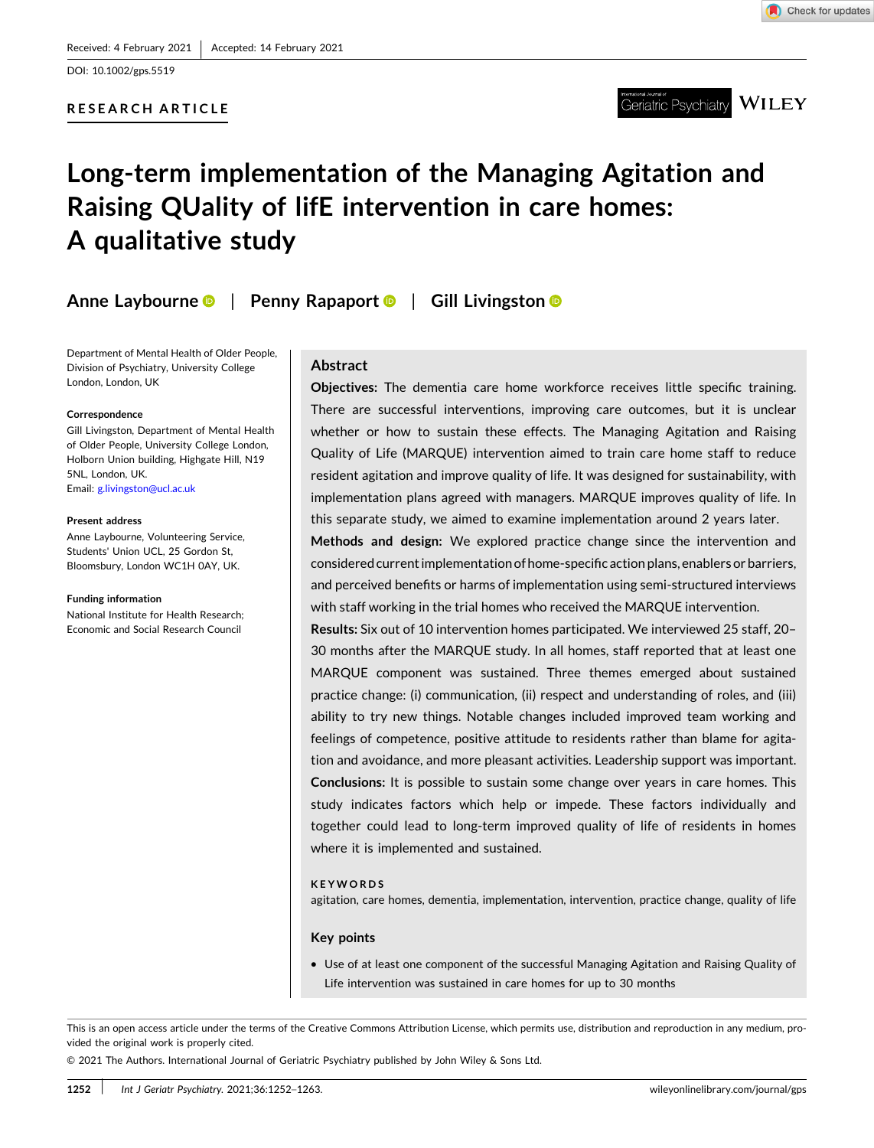DOI: [10.1002/gps.5519](https://doi.org/10.1002/gps.5519)

# **RESEARCH ARTICLE**



**WILEY** Geriatric Psvchiatrv

# **Long‐term implementation of the Managing Agitation and Raising QUality of lifE intervention in care homes: A qualitative study**

**Anne Laybourne** | **Penny Rapaport** | **Gill Livingston**

Department of Mental Health of Older People, Division of Psychiatry, University College London, London, UK

#### **Correspondence**

Gill Livingston, Department of Mental Health of Older People, University College London, Holborn Union building, Highgate Hill, N19 5NL, London, UK. Email: [g.livingston@ucl.ac.uk](mailto:g.livingston@ucl.ac.uk)

#### **Present address**

Anne Laybourne, Volunteering Service, Students' Union UCL, 25 Gordon St, Bloomsbury, London WC1H 0AY, UK.

#### **Funding information**

National Institute for Health Research; Economic and Social Research Council

#### **Abstract**

**Objectives:** The dementia care home workforce receives little specific training. There are successful interventions, improving care outcomes, but it is unclear whether or how to sustain these effects. The Managing Agitation and Raising Quality of Life (MARQUE) intervention aimed to train care home staff to reduce resident agitation and improve quality of life. It was designed for sustainability, with implementation plans agreed with managers. MARQUE improves quality of life. In this separate study, we aimed to examine implementation around 2 years later.

**Methods and design:** We explored practice change since the intervention and considered current implementation of home-specific action plans, enablers or barriers, and perceived benefits or harms of implementation using semi‐structured interviews with staff working in the trial homes who received the MARQUE intervention.

**Results:** Six out of 10 intervention homes participated. We interviewed 25 staff, 20– 30 months after the MARQUE study. In all homes, staff reported that at least one MARQUE component was sustained. Three themes emerged about sustained practice change: (i) communication, (ii) respect and understanding of roles, and (iii) ability to try new things. Notable changes included improved team working and feelings of competence, positive attitude to residents rather than blame for agitation and avoidance, and more pleasant activities. Leadership support was important. **Conclusions:** It is possible to sustain some change over years in care homes. This study indicates factors which help or impede. These factors individually and together could lead to long‐term improved quality of life of residents in homes where it is implemented and sustained.

#### **KEYWORDS**

agitation, care homes, dementia, implementation, intervention, practice change, quality of life

#### **Key points**

� Use of at least one component of the successful Managing Agitation and Raising Quality of Life intervention was sustained in care homes for up to 30 months

This is an open access article under the terms of the Creative Commons Attribution License, which permits use, distribution and reproduction in any medium, provided the original work is properly cited.

© 2021 The Authors. International Journal of Geriatric Psychiatry published by John Wiley & Sons Ltd.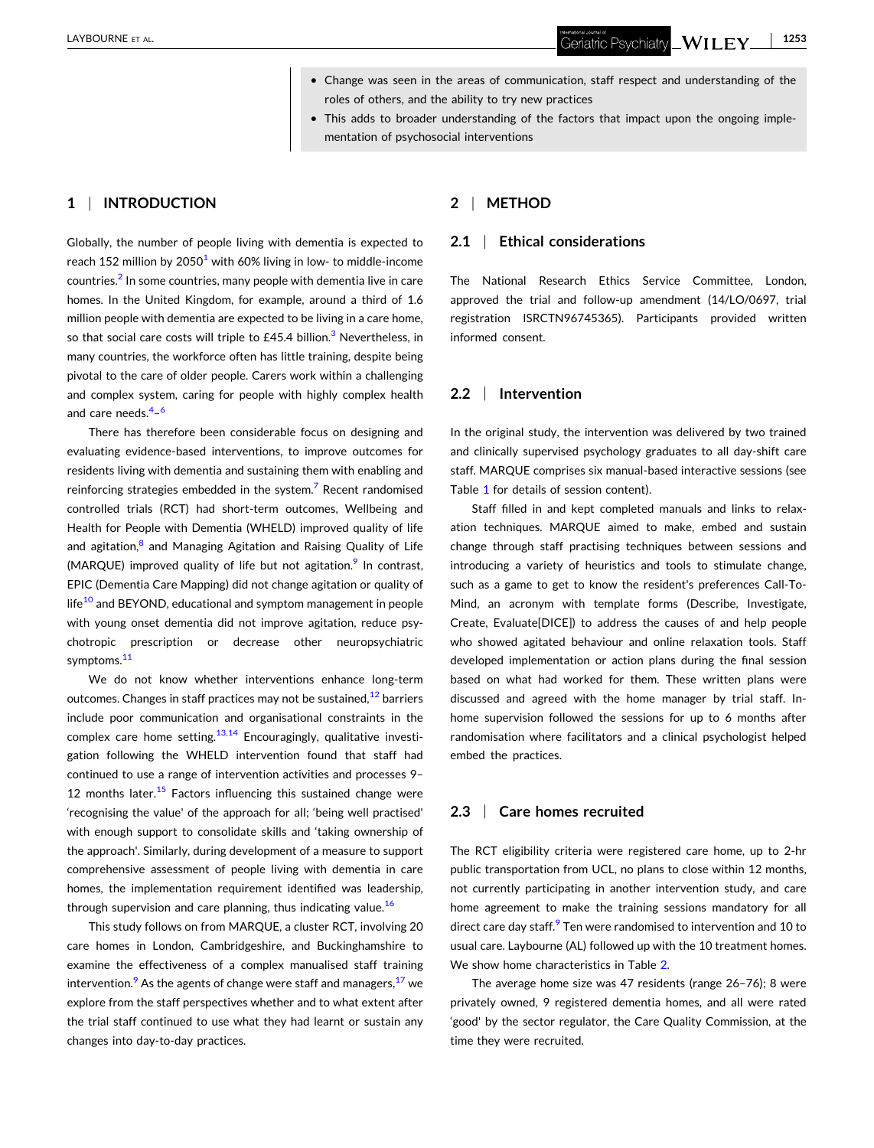- **1253**Geriatric Psychiatry  $\sqrt{\text{NILEY}}$ 

- � Change was seen in the areas of communication, staff respect and understanding of the roles of others, and the ability to try new practices
- This adds to broader understanding of the factors that impact upon the ongoing implementation of psychosocial interventions

# **1** <sup>|</sup> **INTRODUCTION**

Globally, the number of people living with dementia is expected to reach 152 million by  $2050^1$  with 60% living in low- to middle-income countries.<sup>[2](#page-7-0)</sup> In some countries, many people with dementia live in care homes. In the United Kingdom, for example, around a third of 1.6 million people with dementia are expected to be living in a care home, so that social care costs will triple to  $£45.4$  billion.<sup>3</sup> Nevertheless, in many countries, the workforce often has little training, despite being pivotal to the care of older people. Carers work within a challenging and complex system, caring for people with highly complex health and care needs.<sup>[4](#page-8-0)-6</sup>

There has therefore been considerable focus on designing and evaluating evidence‐based interventions, to improve outcomes for residents living with dementia and sustaining them with enabling and reinforcing strategies embedded in the system.<sup>[7](#page-8-0)</sup> Recent randomised controlled trials (RCT) had short‐term outcomes, Wellbeing and Health for People with Dementia (WHELD) improved quality of life and agitation, $<sup>8</sup>$  $<sup>8</sup>$  $<sup>8</sup>$  and Managing Agitation and Raising Quality of Life</sup> (MARQUE) improved quality of life but not agitation.<sup>9</sup> In contrast, EPIC (Dementia Care Mapping) did not change agitation or quality of life<sup>[10](#page-8-0)</sup> and BEYOND, educational and symptom management in people with young onset dementia did not improve agitation, reduce psychotropic prescription or decrease other neuropsychiatric symptoms.<sup>[11](#page-8-0)</sup>

We do not know whether interventions enhance long-term outcomes. Changes in staff practices may not be sustained, $12$  barriers include poor communication and organisational constraints in the complex care home setting.<sup>13,14</sup> Encouragingly, qualitative investigation following the WHELD intervention found that staff had continued to use a range of intervention activities and processes 9– 12 months later. $15$  Factors influencing this sustained change were 'recognising the value' of the approach for all; 'being well practised' with enough support to consolidate skills and 'taking ownership of the approach'. Similarly, during development of a measure to support comprehensive assessment of people living with dementia in care homes, the implementation requirement identified was leadership, through supervision and care planning, thus indicating value.<sup>[16](#page-8-0)</sup>

This study follows on from MARQUE, a cluster RCT, involving 20 care homes in London, Cambridgeshire, and Buckinghamshire to examine the effectiveness of a complex manualised staff training intervention.<sup>[9](#page-8-0)</sup> As the agents of change were staff and managers,  $17$  we explore from the staff perspectives whether and to what extent after the trial staff continued to use what they had learnt or sustain any changes into day‐to‐day practices.

## **2** <sup>|</sup> **METHOD**

## **2.1** <sup>|</sup> **Ethical considerations**

The National Research Ethics Service Committee, London, approved the trial and follow‐up amendment (14/LO/0697, trial registration ISRCTN96745365). Participants provided written informed consent.

## **2.2** <sup>|</sup> **Intervention**

In the original study, the intervention was delivered by two trained and clinically supervised psychology graduates to all day-shift care staff. MARQUE comprises six manual‐based interactive sessions (see Table [1](#page-2-0) for details of session content).

Staff filled in and kept completed manuals and links to relaxation techniques. MARQUE aimed to make, embed and sustain change through staff practising techniques between sessions and introducing a variety of heuristics and tools to stimulate change, such as a game to get to know the resident's preferences Call-To-Mind, an acronym with template forms (Describe, Investigate, Create, Evaluate[DICE]) to address the causes of and help people who showed agitated behaviour and online relaxation tools. Staff developed implementation or action plans during the final session based on what had worked for them. These written plans were discussed and agreed with the home manager by trial staff. In‐ home supervision followed the sessions for up to 6 months after randomisation where facilitators and a clinical psychologist helped embed the practices.

#### **2.3** <sup>|</sup> **Care homes recruited**

The RCT eligibility criteria were registered care home, up to 2‐hr public transportation from UCL, no plans to close within 12 months, not currently participating in another intervention study, and care home agreement to make the training sessions mandatory for all direct care day staff.<sup>9</sup> Ten were randomised to intervention and 10 to usual care. Laybourne (AL) followed up with the 10 treatment homes. We show home characteristics in Table [2.](#page-2-0)

The average home size was 47 residents (range 26–76); 8 were privately owned, 9 registered dementia homes, and all were rated 'good' by the sector regulator, the Care Quality Commission, at the time they were recruited.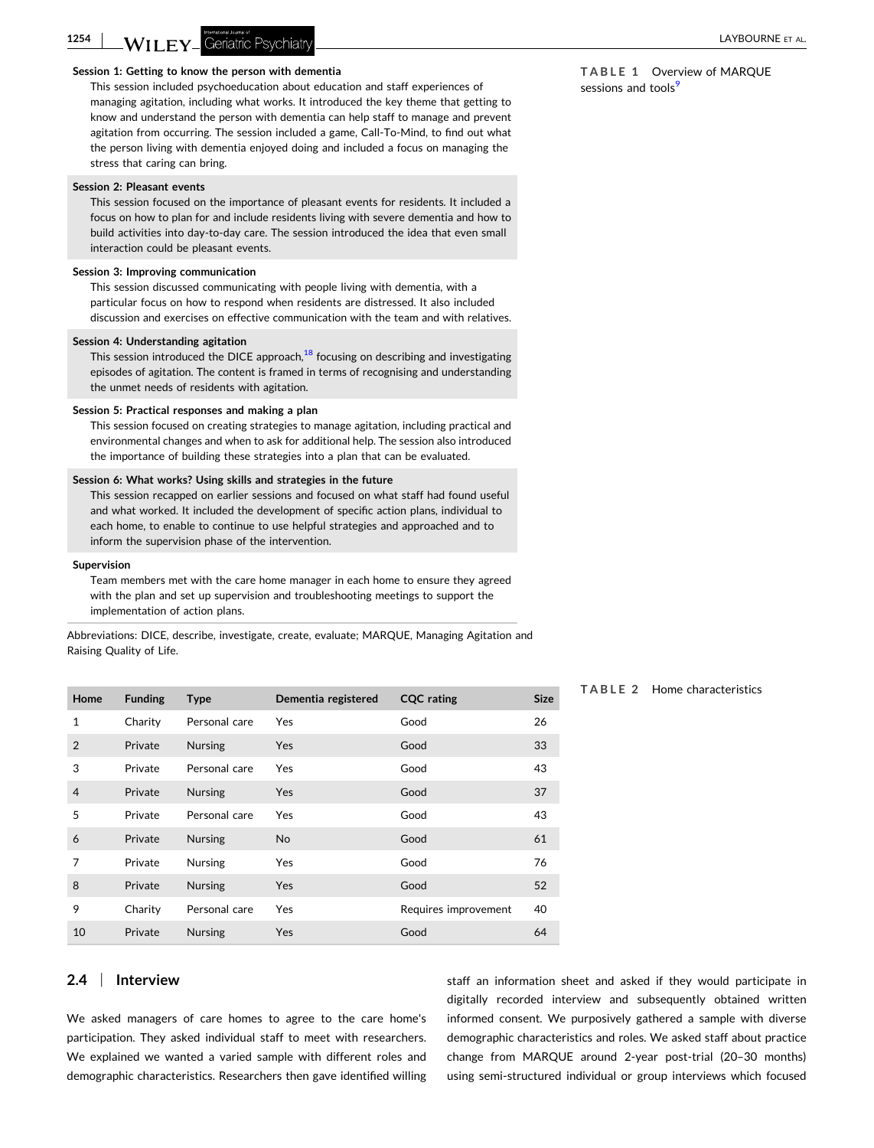**TABLE 1** Overview of MARQUE

sessions and tools<sup>[9](#page-8-0)</sup>

 $N$  if it for a layer produced some of  $\sim$  LAYBOURNE et al.

#### **Session 1: Getting to know the person with dementia**

This session included psychoeducation about education and staff experiences of managing agitation, including what works. It introduced the key theme that getting to know and understand the person with dementia can help staff to manage and prevent agitation from occurring. The session included a game, Call‐To‐Mind, to find out what the person living with dementia enjoyed doing and included a focus on managing the stress that caring can bring.

#### **Session 2: Pleasant events**

<span id="page-2-0"></span>**1254**

This session focused on the importance of pleasant events for residents. It included a focus on how to plan for and include residents living with severe dementia and how to build activities into day‐to‐day care. The session introduced the idea that even small interaction could be pleasant events.

#### **Session 3: Improving communication**

This session discussed communicating with people living with dementia, with a particular focus on how to respond when residents are distressed. It also included discussion and exercises on effective communication with the team and with relatives.

#### **Session 4: Understanding agitation**

This session introduced the DICE approach, $18$  focusing on describing and investigating episodes of agitation. The content is framed in terms of recognising and understanding the unmet needs of residents with agitation.

#### **Session 5: Practical responses and making a plan**

This session focused on creating strategies to manage agitation, including practical and environmental changes and when to ask for additional help. The session also introduced the importance of building these strategies into a plan that can be evaluated.

#### **Session 6: What works? Using skills and strategies in the future**

This session recapped on earlier sessions and focused on what staff had found useful and what worked. It included the development of specific action plans, individual to each home, to enable to continue to use helpful strategies and approached and to inform the supervision phase of the intervention.

#### **Supervision**

Team members met with the care home manager in each home to ensure they agreed with the plan and set up supervision and troubleshooting meetings to support the implementation of action plans.

Abbreviations: DICE, describe, investigate, create, evaluate; MARQUE, Managing Agitation and Raising Quality of Life.

| Home           | <b>Funding</b> | <b>Type</b>    | Dementia registered | <b>CQC</b> rating    | <b>Size</b> |
|----------------|----------------|----------------|---------------------|----------------------|-------------|
| $\mathbf{1}$   | Charity        | Personal care  | <b>Yes</b>          | Good                 | 26          |
| $\overline{2}$ | Private        | <b>Nursing</b> | Yes                 | Good                 | 33          |
| 3              | Private        | Personal care  | <b>Yes</b>          | Good                 | 43          |
| $\overline{4}$ | Private        | <b>Nursing</b> | <b>Yes</b>          | Good                 | 37          |
| 5              | Private        | Personal care  | Yes                 | Good                 | 43          |
| 6              | Private        | <b>Nursing</b> | <b>No</b>           | Good                 | 61          |
| 7              | Private        | <b>Nursing</b> | <b>Yes</b>          | Good                 | 76          |
| 8              | Private        | <b>Nursing</b> | <b>Yes</b>          | Good                 | 52          |
| 9              | Charity        | Personal care  | Yes                 | Requires improvement | 40          |
| 10             | Private        | <b>Nursing</b> | Yes                 | Good                 | 64          |

#### **TABLE 2** Home characteristics

## **2.4** <sup>|</sup> **Interview**

We asked managers of care homes to agree to the care home's participation. They asked individual staff to meet with researchers. We explained we wanted a varied sample with different roles and demographic characteristics. Researchers then gave identified willing staff an information sheet and asked if they would participate in digitally recorded interview and subsequently obtained written informed consent. We purposively gathered a sample with diverse demographic characteristics and roles. We asked staff about practice change from MARQUE around 2-year post-trial (20-30 months) using semi‐structured individual or group interviews which focused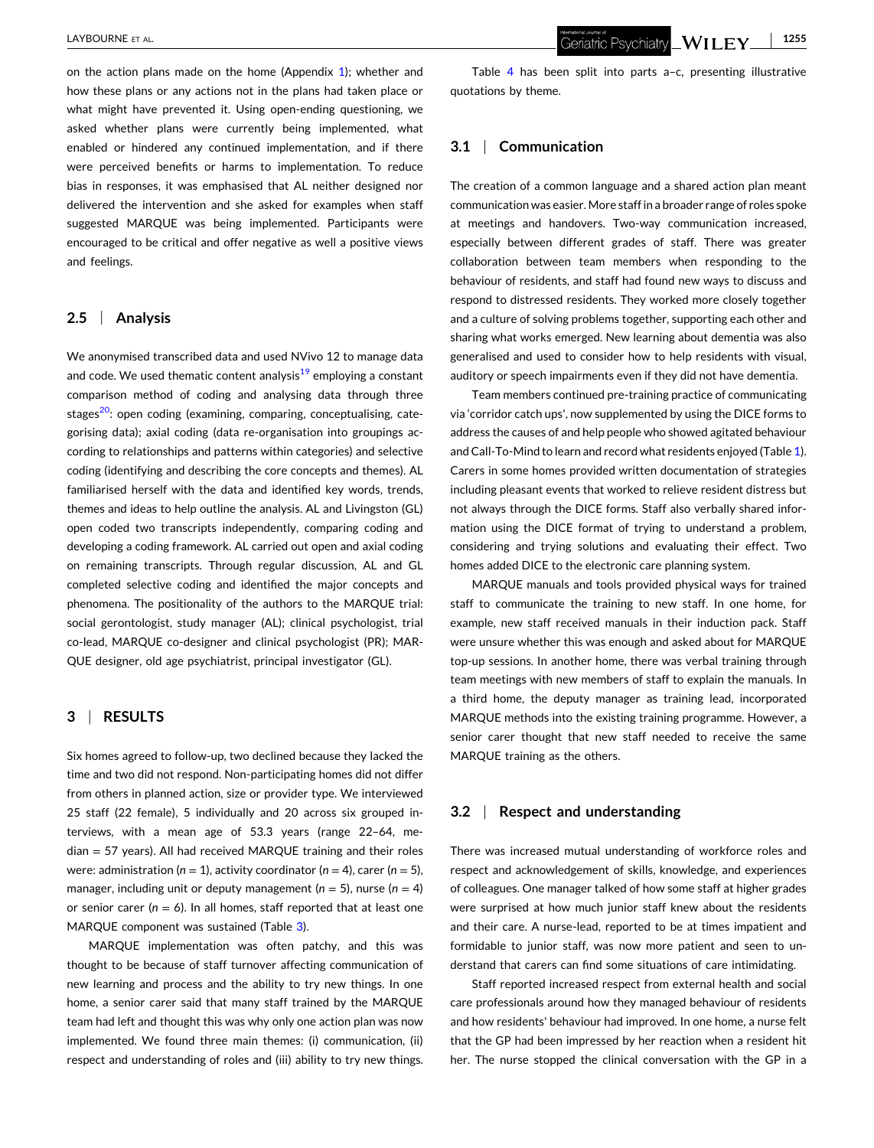on the action plans made on the home (Appendix [1](#page-8-0)); whether and how these plans or any actions not in the plans had taken place or what might have prevented it. Using open-ending questioning, we asked whether plans were currently being implemented, what enabled or hindered any continued implementation, and if there were perceived benefits or harms to implementation. To reduce bias in responses, it was emphasised that AL neither designed nor delivered the intervention and she asked for examples when staff suggested MARQUE was being implemented. Participants were encouraged to be critical and offer negative as well a positive views and feelings.

# **2.5** <sup>|</sup> **Analysis**

We anonymised transcribed data and used NVivo 12 to manage data and code. We used thematic content analysis $19$  employing a constant comparison method of coding and analysing data through three stages<sup>20</sup>: open coding (examining, comparing, conceptualising, categorising data); axial coding (data re‐organisation into groupings according to relationships and patterns within categories) and selective coding (identifying and describing the core concepts and themes). AL familiarised herself with the data and identified key words, trends, themes and ideas to help outline the analysis. AL and Livingston (GL) open coded two transcripts independently, comparing coding and developing a coding framework. AL carried out open and axial coding on remaining transcripts. Through regular discussion, AL and GL completed selective coding and identified the major concepts and phenomena. The positionality of the authors to the MARQUE trial: social gerontologist, study manager (AL); clinical psychologist, trial co-lead, MARQUE co-designer and clinical psychologist (PR); MAR-QUE designer, old age psychiatrist, principal investigator (GL).

## **3** <sup>|</sup> **RESULTS**

Six homes agreed to follow‐up, two declined because they lacked the time and two did not respond. Non‐participating homes did not differ from others in planned action, size or provider type. We interviewed 25 staff (22 female), 5 individually and 20 across six grouped interviews, with a mean age of 53.3 years (range 22–64, median = 57 years). All had received MARQUE training and their roles were: administration ( $n = 1$ ), activity coordinator ( $n = 4$ ), carer ( $n = 5$ ), manager, including unit or deputy management ( $n = 5$ ), nurse ( $n = 4$ ) or senior carer ( $n = 6$ ). In all homes, staff reported that at least one MARQUE component was sustained (Table [3\)](#page-4-0).

MARQUE implementation was often patchy, and this was thought to be because of staff turnover affecting communication of new learning and process and the ability to try new things. In one home, a senior carer said that many staff trained by the MARQUE team had left and thought this was why only one action plan was now implemented. We found three main themes: (i) communication, (ii) respect and understanding of roles and (iii) ability to try new things.

Table [4](#page-5-0) has been split into parts a–c, presenting illustrative quotations by theme.

# **3.1** <sup>|</sup> **Communication**

The creation of a common language and a shared action plan meant communication was easier. More staffin a broader range of roles spoke at meetings and handovers. Two‐way communication increased, especially between different grades of staff. There was greater collaboration between team members when responding to the behaviour of residents, and staff had found new ways to discuss and respond to distressed residents. They worked more closely together and a culture of solving problems together, supporting each other and sharing what works emerged. New learning about dementia was also generalised and used to consider how to help residents with visual, auditory or speech impairments even if they did not have dementia.

Team members continued pre‐training practice of communicating via 'corridor catch ups', now supplemented by using the DICE forms to address the causes of and help people who showed agitated behaviour and Call-To-Mind to learn and record what residents enjoyed (Table [1\)](#page-2-0). Carers in some homes provided written documentation of strategies including pleasant events that worked to relieve resident distress but not always through the DICE forms. Staff also verbally shared information using the DICE format of trying to understand a problem, considering and trying solutions and evaluating their effect. Two homes added DICE to the electronic care planning system.

MARQUE manuals and tools provided physical ways for trained staff to communicate the training to new staff. In one home, for example, new staff received manuals in their induction pack. Staff were unsure whether this was enough and asked about for MARQUE top‐up sessions. In another home, there was verbal training through team meetings with new members of staff to explain the manuals. In a third home, the deputy manager as training lead, incorporated MARQUE methods into the existing training programme. However, a senior carer thought that new staff needed to receive the same MARQUE training as the others.

## **3.2** <sup>|</sup> **Respect and understanding**

There was increased mutual understanding of workforce roles and respect and acknowledgement of skills, knowledge, and experiences of colleagues. One manager talked of how some staff at higher grades were surprised at how much junior staff knew about the residents and their care. A nurse‐lead, reported to be at times impatient and formidable to junior staff, was now more patient and seen to understand that carers can find some situations of care intimidating.

Staff reported increased respect from external health and social care professionals around how they managed behaviour of residents and how residents' behaviour had improved. In one home, a nurse felt that the GP had been impressed by her reaction when a resident hit her. The nurse stopped the clinical conversation with the GP in a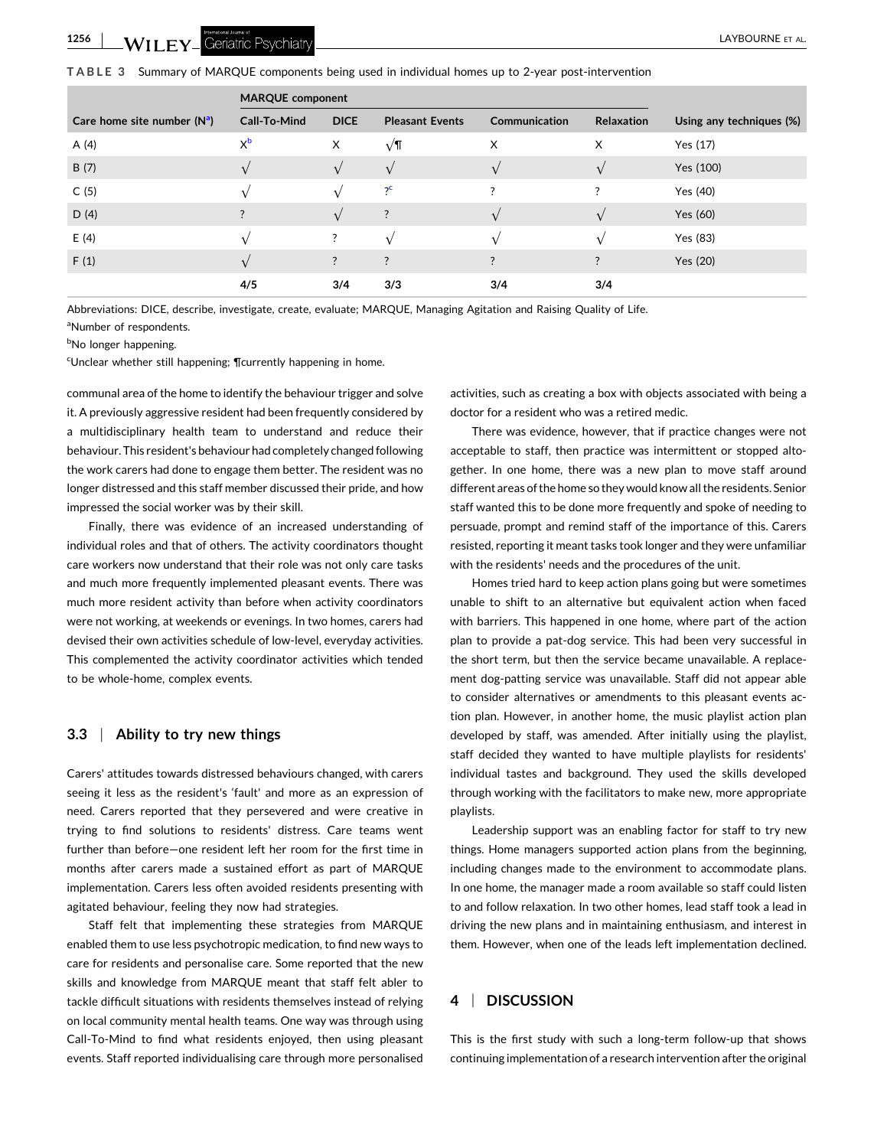- LAYBOURNE ET AL.

<span id="page-4-0"></span>**TABLE 3** Summary of MARQUE components being used in individual homes up to 2‐year post‐intervention

|                               | <b>MARQUE component</b> |             |                        |               |                |                          |
|-------------------------------|-------------------------|-------------|------------------------|---------------|----------------|--------------------------|
| Care home site number $(N^a)$ | Call-To-Mind            | <b>DICE</b> | <b>Pleasant Events</b> | Communication | Relaxation     | Using any techniques (%) |
| A (4)                         | $X_{p}$                 | X           | $\sqrt{\mathsf{T}}$    | X             | Χ              | Yes (17)                 |
| B(7)                          |                         | $\sqrt{ }$  | $\sqrt{ }$             |               | $\sqrt{ }$     | Yes (100)                |
| C(5)                          |                         |             | $?^{\mathsf{c}}$       | 2             | $\overline{?}$ | Yes (40)                 |
| D(4)                          | $\overline{?}$          |             | ?                      |               |                | Yes (60)                 |
| E(4)                          |                         | ?           | $\sqrt{ }$             |               |                | Yes (83)                 |
| F(1)                          |                         | $\ddot{?}$  | $\ddot{?}$             | ?             | $\ddot{?}$     | Yes (20)                 |
|                               | 4/5                     | 3/4         | 3/3                    | 3/4           | 3/4            |                          |

Abbreviations: DICE, describe, investigate, create, evaluate; MARQUE, Managing Agitation and Raising Quality of Life. <sup>a</sup>Number of respondents.

<sup>b</sup>No longer happening.

<sup>c</sup>Unclear whether still happening; **¶**currently happening in home.

communal area of the home to identify the behaviour trigger and solve it. A previously aggressive resident had been frequently considered by a multidisciplinary health team to understand and reduce their behaviour. This resident's behaviour had completely changed following the work carers had done to engage them better. The resident was no longer distressed and this staff member discussed their pride, and how impressed the social worker was by their skill.

Finally, there was evidence of an increased understanding of individual roles and that of others. The activity coordinators thought care workers now understand that their role was not only care tasks and much more frequently implemented pleasant events. There was much more resident activity than before when activity coordinators were not working, at weekends or evenings. In two homes, carers had devised their own activities schedule of low‐level, everyday activities. This complemented the activity coordinator activities which tended to be whole‐home, complex events.

#### **3.3** <sup>|</sup> **Ability to try new things**

Carers' attitudes towards distressed behaviours changed, with carers seeing it less as the resident's 'fault' and more as an expression of need. Carers reported that they persevered and were creative in trying to find solutions to residents' distress. Care teams went further than before—one resident left her room for the first time in months after carers made a sustained effort as part of MARQUE implementation. Carers less often avoided residents presenting with agitated behaviour, feeling they now had strategies.

Staff felt that implementing these strategies from MARQUE enabled them to use less psychotropic medication, to find new ways to care for residents and personalise care. Some reported that the new skills and knowledge from MARQUE meant that staff felt abler to tackle difficult situations with residents themselves instead of relying on local community mental health teams. One way was through using Call-To-Mind to find what residents enjoyed, then using pleasant events. Staff reported individualising care through more personalised

activities, such as creating a box with objects associated with being a doctor for a resident who was a retired medic.

There was evidence, however, that if practice changes were not acceptable to staff, then practice was intermittent or stopped altogether. In one home, there was a new plan to move staff around different areas of the home so they would know all the residents. Senior staff wanted this to be done more frequently and spoke of needing to persuade, prompt and remind staff of the importance of this. Carers resisted, reporting it meant tasks took longer and they were unfamiliar with the residents' needs and the procedures of the unit.

Homes tried hard to keep action plans going but were sometimes unable to shift to an alternative but equivalent action when faced with barriers. This happened in one home, where part of the action plan to provide a pat‐dog service. This had been very successful in the short term, but then the service became unavailable. A replacement dog-patting service was unavailable. Staff did not appear able to consider alternatives or amendments to this pleasant events action plan. However, in another home, the music playlist action plan developed by staff, was amended. After initially using the playlist, staff decided they wanted to have multiple playlists for residents' individual tastes and background. They used the skills developed through working with the facilitators to make new, more appropriate playlists.

Leadership support was an enabling factor for staff to try new things. Home managers supported action plans from the beginning, including changes made to the environment to accommodate plans. In one home, the manager made a room available so staff could listen to and follow relaxation. In two other homes, lead staff took a lead in driving the new plans and in maintaining enthusiasm, and interest in them. However, when one of the leads left implementation declined.

# **4** <sup>|</sup> **DISCUSSION**

This is the first study with such a long-term follow-up that shows continuing implementation of a research intervention after the original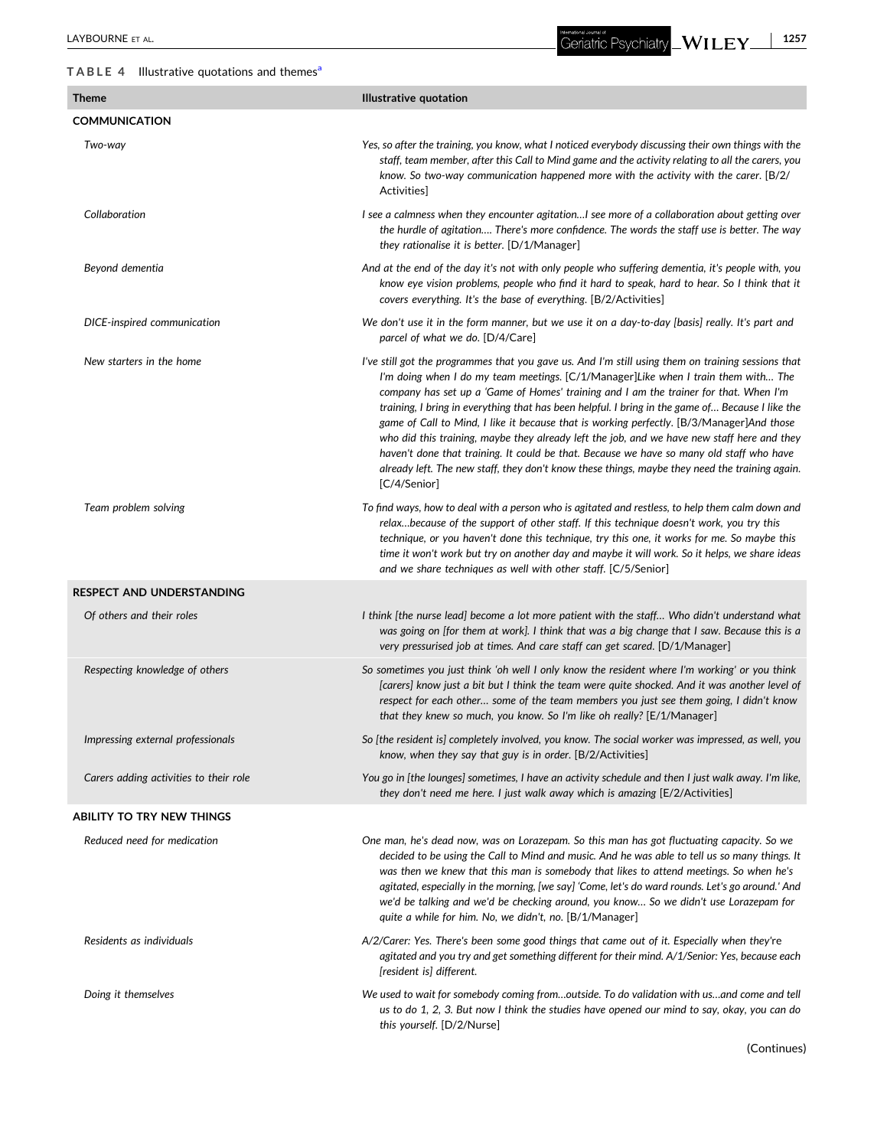# <span id="page-5-0"></span>**TABLE 4** Illustrative quotations and theme[sa](#page-6-0)

International Journal of<br>Geriatric Psychiatry **\_WILEY\_** - **1257**

| $\overline{a}$ $\overline{b}$ and $\overline{c}$ and $\overline{c}$ and $\overline{c}$ and $\overline{c}$ and $\overline{c}$ and $\overline{c}$ |                                                                                                                                                                                                                                                                                                                                                                                                                                                                                                                                                                                                                                                                                                                                                                                                 |
|-------------------------------------------------------------------------------------------------------------------------------------------------|-------------------------------------------------------------------------------------------------------------------------------------------------------------------------------------------------------------------------------------------------------------------------------------------------------------------------------------------------------------------------------------------------------------------------------------------------------------------------------------------------------------------------------------------------------------------------------------------------------------------------------------------------------------------------------------------------------------------------------------------------------------------------------------------------|
| <b>Theme</b>                                                                                                                                    | <b>Illustrative quotation</b>                                                                                                                                                                                                                                                                                                                                                                                                                                                                                                                                                                                                                                                                                                                                                                   |
| <b>COMMUNICATION</b>                                                                                                                            |                                                                                                                                                                                                                                                                                                                                                                                                                                                                                                                                                                                                                                                                                                                                                                                                 |
| Two-way                                                                                                                                         | Yes, so after the training, you know, what I noticed everybody discussing their own things with the<br>staff, team member, after this Call to Mind game and the activity relating to all the carers, you<br>know. So two-way communication happened more with the activity with the carer. [B/2/<br>Activities]                                                                                                                                                                                                                                                                                                                                                                                                                                                                                 |
| Collaboration                                                                                                                                   | I see a calmness when they encounter agitationI see more of a collaboration about getting over<br>the hurdle of agitation There's more confidence. The words the staff use is better. The way<br>they rationalise it is better. [D/1/Manager]                                                                                                                                                                                                                                                                                                                                                                                                                                                                                                                                                   |
| Beyond dementia                                                                                                                                 | And at the end of the day it's not with only people who suffering dementia, it's people with, you<br>know eye vision problems, people who find it hard to speak, hard to hear. So I think that it<br>covers everything. It's the base of everything. [B/2/Activities]                                                                                                                                                                                                                                                                                                                                                                                                                                                                                                                           |
| DICE-inspired communication                                                                                                                     | We don't use it in the form manner, but we use it on a day-to-day [basis] really. It's part and<br>parcel of what we do. [D/4/Care]                                                                                                                                                                                                                                                                                                                                                                                                                                                                                                                                                                                                                                                             |
| New starters in the home                                                                                                                        | I've still got the programmes that you gave us. And I'm still using them on training sessions that<br>I'm doing when I do my team meetings. [C/1/Manager]Like when I train them with The<br>company has set up a 'Game of Homes' training and I am the trainer for that. When I'm<br>training, I bring in everything that has been helpful. I bring in the game of Because I like the<br>game of Call to Mind, I like it because that is working perfectly. [B/3/Manager]And those<br>who did this training, maybe they already left the job, and we have new staff here and they<br>haven't done that training. It could be that. Because we have so many old staff who have<br>already left. The new staff, they don't know these things, maybe they need the training again.<br>[C/4/Senior] |
| Team problem solving                                                                                                                            | To find ways, how to deal with a person who is agitated and restless, to help them calm down and<br>relaxbecause of the support of other staff. If this technique doesn't work, you try this<br>technique, or you haven't done this technique, try this one, it works for me. So maybe this<br>time it won't work but try on another day and maybe it will work. So it helps, we share ideas<br>and we share techniques as well with other staff. [C/5/Senior]                                                                                                                                                                                                                                                                                                                                  |
| <b>RESPECT AND UNDERSTANDING</b>                                                                                                                |                                                                                                                                                                                                                                                                                                                                                                                                                                                                                                                                                                                                                                                                                                                                                                                                 |
| Of others and their roles                                                                                                                       | I think [the nurse lead] become a lot more patient with the staff Who didn't understand what<br>was going on [for them at work]. I think that was a big change that I saw. Because this is a<br>very pressurised job at times. And care staff can get scared. [D/1/Manager]                                                                                                                                                                                                                                                                                                                                                                                                                                                                                                                     |
| Respecting knowledge of others                                                                                                                  | So sometimes you just think 'oh well I only know the resident where I'm working' or you think<br>[carers] know just a bit but I think the team were quite shocked. And it was another level of<br>respect for each other some of the team members you just see them going, I didn't know<br>that they knew so much, you know. So I'm like oh really? [E/1/Manager]                                                                                                                                                                                                                                                                                                                                                                                                                              |
| Impressing external professionals                                                                                                               | So [the resident is] completely involved, you know. The social worker was impressed, as well, you<br>know, when they say that guy is in order. [B/2/Activities]                                                                                                                                                                                                                                                                                                                                                                                                                                                                                                                                                                                                                                 |
| Carers adding activities to their role                                                                                                          | You go in [the lounges] sometimes, I have an activity schedule and then I just walk away. I'm like,<br>they don't need me here. I just walk away which is amazing [E/2/Activities]                                                                                                                                                                                                                                                                                                                                                                                                                                                                                                                                                                                                              |
| <b>ABILITY TO TRY NEW THINGS</b>                                                                                                                |                                                                                                                                                                                                                                                                                                                                                                                                                                                                                                                                                                                                                                                                                                                                                                                                 |
| Reduced need for medication                                                                                                                     | One man, he's dead now, was on Lorazepam. So this man has got fluctuating capacity. So we<br>decided to be using the Call to Mind and music. And he was able to tell us so many things. It<br>was then we knew that this man is somebody that likes to attend meetings. So when he's<br>agitated, especially in the morning, [we say] 'Come, let's do ward rounds. Let's go around.' And<br>we'd be talking and we'd be checking around, you know So we didn't use Lorazepam for<br>quite a while for him. No, we didn't, no. [B/1/Manager]                                                                                                                                                                                                                                                     |
| Residents as individuals                                                                                                                        | A/2/Carer: Yes. There's been some good things that came out of it. Especially when they're<br>agitated and you try and get something different for their mind. A/1/Senior: Yes, because each<br>[resident is] different.                                                                                                                                                                                                                                                                                                                                                                                                                                                                                                                                                                        |
| Doing it themselves                                                                                                                             | We used to wait for somebody coming fromoutside. To do validation with usand come and tell<br>us to do 1, 2, 3. But now I think the studies have opened our mind to say, okay, you can do<br>this yourself. [D/2/Nurse]                                                                                                                                                                                                                                                                                                                                                                                                                                                                                                                                                                         |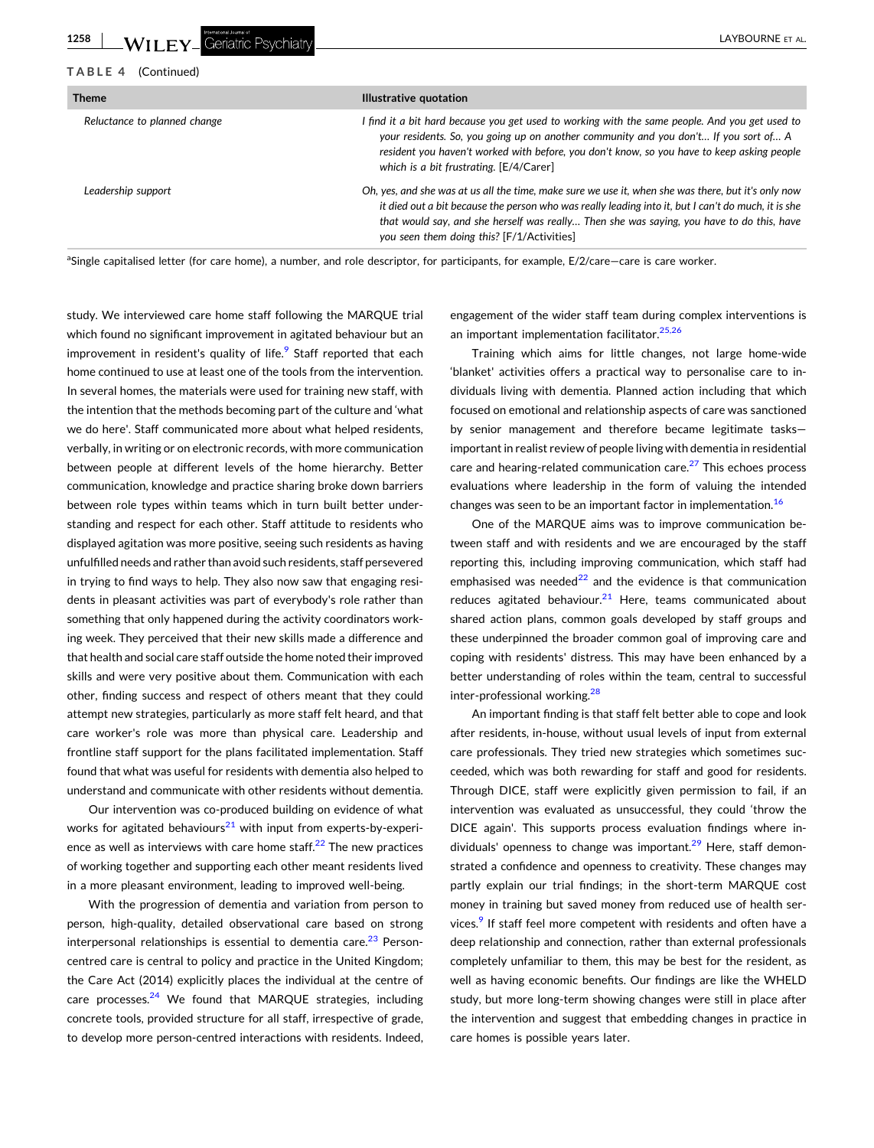<span id="page-6-0"></span>

| <b>Theme</b>                 | Illustrative quotation                                                                                                                                                                                                                                                                                                                                |  |  |
|------------------------------|-------------------------------------------------------------------------------------------------------------------------------------------------------------------------------------------------------------------------------------------------------------------------------------------------------------------------------------------------------|--|--|
| Reluctance to planned change | I find it a bit hard because you get used to working with the same people. And you get used to<br>your residents. So, you going up on another community and you don't If you sort of A<br>resident you haven't worked with before, you don't know, so you have to keep asking people<br>which is a bit frustrating. [E/4/Carer]                       |  |  |
| Leadership support           | Oh, yes, and she was at us all the time, make sure we use it, when she was there, but it's only now<br>it died out a bit because the person who was really leading into it, but I can't do much, it is she<br>that would say, and she herself was really Then she was saying, you have to do this, have<br>you seen them doing this? [F/1/Activities] |  |  |

<sup>a</sup>Single capitalised letter (for care home), a number, and role descriptor, for participants, for example, E/2/care–care is care worker.

study. We interviewed care home staff following the MARQUE trial which found no significant improvement in agitated behaviour but an improvement in resident's quality of life.<sup>[9](#page-8-0)</sup> Staff reported that each home continued to use at least one of the tools from the intervention. In several homes, the materials were used for training new staff, with the intention that the methods becoming part of the culture and 'what we do here'. Staff communicated more about what helped residents, verbally, in writing or on electronic records, with more communication between people at different levels of the home hierarchy. Better communication, knowledge and practice sharing broke down barriers between role types within teams which in turn built better understanding and respect for each other. Staff attitude to residents who displayed agitation was more positive, seeing such residents as having unfulfilled needs and rather than avoid such residents, staff persevered in trying to find ways to help. They also now saw that engaging residents in pleasant activities was part of everybody's role rather than something that only happened during the activity coordinators working week. They perceived that their new skills made a difference and that health and social care staff outside the home noted their improved skills and were very positive about them. Communication with each other, finding success and respect of others meant that they could attempt new strategies, particularly as more staff felt heard, and that care worker's role was more than physical care. Leadership and frontline staff support for the plans facilitated implementation. Staff found that what was useful for residents with dementia also helped to understand and communicate with other residents without dementia.

Our intervention was co‐produced building on evidence of what works for agitated behaviours $^{21}$  $^{21}$  $^{21}$  with input from experts-by-experience as well as interviews with care home staff. $22$  The new practices of working together and supporting each other meant residents lived in a more pleasant environment, leading to improved well‐being.

With the progression of dementia and variation from person to person, high-quality, detailed observational care based on strong interpersonal relationships is essential to dementia care. $^{23}$  $^{23}$  $^{23}$  Personcentred care is central to policy and practice in the United Kingdom; the Care Act (2014) explicitly places the individual at the centre of care processes.<sup>[24](#page-8-0)</sup> We found that MARQUE strategies, including concrete tools, provided structure for all staff, irrespective of grade, to develop more person‐centred interactions with residents. Indeed,

engagement of the wider staff team during complex interventions is an important implementation facilitator.<sup>[25,26](#page-8-0)</sup>

Training which aims for little changes, not large home‐wide 'blanket' activities offers a practical way to personalise care to individuals living with dementia. Planned action including that which focused on emotional and relationship aspects of care was sanctioned by senior management and therefore became legitimate tasks important in realist review of people living with dementia in residential care and hearing-related communication care.<sup>[27](#page-8-0)</sup> This echoes process evaluations where leadership in the form of valuing the intended changes was seen to be an important factor in implementation.<sup>[16](#page-8-0)</sup>

One of the MARQUE aims was to improve communication between staff and with residents and we are encouraged by the staff reporting this, including improving communication, which staff had emphasised was needed $^{22}$  $^{22}$  $^{22}$  and the evidence is that communication reduces agitated behaviour. $21$  Here, teams communicated about shared action plans, common goals developed by staff groups and these underpinned the broader common goal of improving care and coping with residents' distress. This may have been enhanced by a better understanding of roles within the team, central to successful inter-professional working.<sup>[28](#page-8-0)</sup>

An important finding is that staff felt better able to cope and look after residents, in‐house, without usual levels of input from external care professionals. They tried new strategies which sometimes succeeded, which was both rewarding for staff and good for residents. Through DICE, staff were explicitly given permission to fail, if an intervention was evaluated as unsuccessful, they could 'throw the DICE again'. This supports process evaluation findings where individuals' openness to change was important. $29$  Here, staff demonstrated a confidence and openness to creativity. These changes may partly explain our trial findings; in the short-term MARQUE cost money in training but saved money from reduced use of health services.<sup>9</sup> If staff feel more competent with residents and often have a deep relationship and connection, rather than external professionals completely unfamiliar to them, this may be best for the resident, as well as having economic benefits. Our findings are like the WHELD study, but more long‐term showing changes were still in place after the intervention and suggest that embedding changes in practice in care homes is possible years later.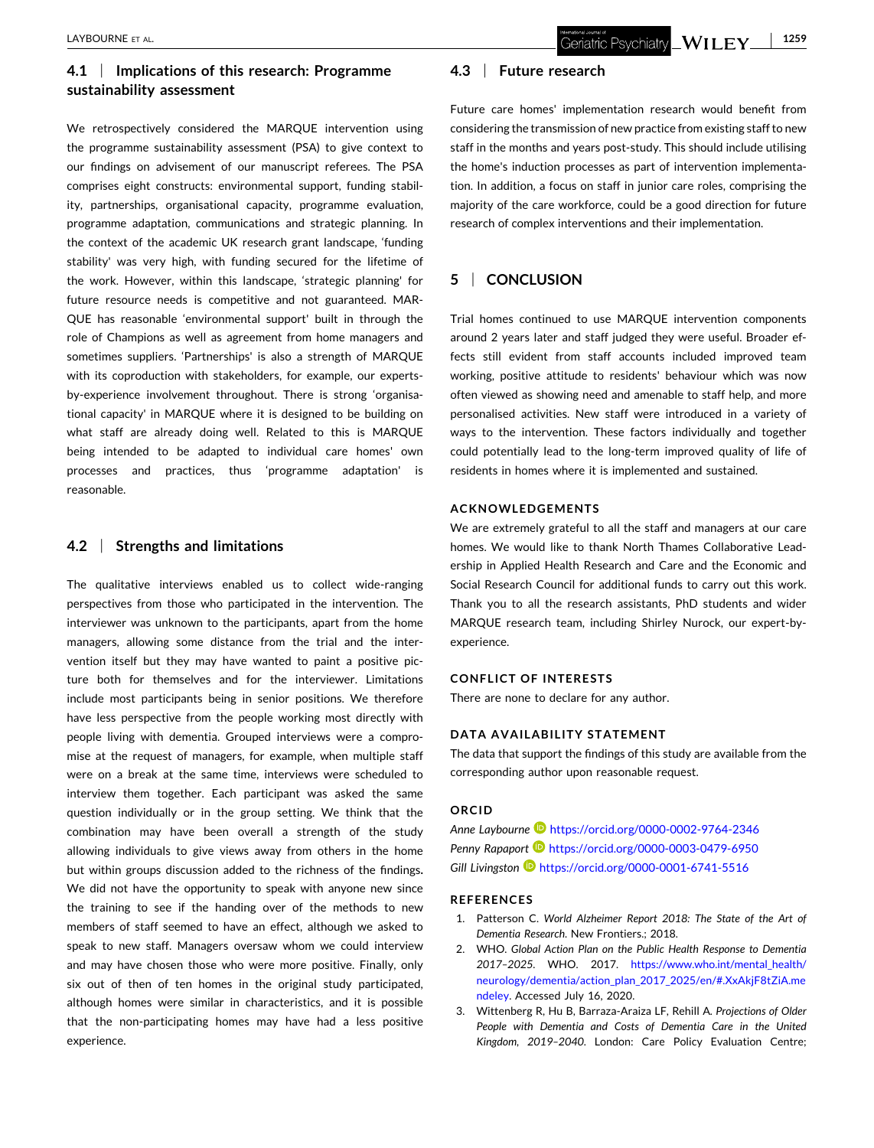# <span id="page-7-0"></span>**4.1** <sup>|</sup> **Implications of this research: Programme sustainability assessment**

We retrospectively considered the MARQUE intervention using the programme sustainability assessment (PSA) to give context to our findings on advisement of our manuscript referees. The PSA comprises eight constructs: environmental support, funding stability, partnerships, organisational capacity, programme evaluation, programme adaptation, communications and strategic planning. In the context of the academic UK research grant landscape, 'funding stability' was very high, with funding secured for the lifetime of the work. However, within this landscape, 'strategic planning' for future resource needs is competitive and not guaranteed. MAR-QUE has reasonable 'environmental support' built in through the role of Champions as well as agreement from home managers and sometimes suppliers. 'Partnerships' is also a strength of MARQUE with its coproduction with stakeholders, for example, our experts‐ by‐experience involvement throughout. There is strong 'organisational capacity' in MARQUE where it is designed to be building on what staff are already doing well. Related to this is MARQUE being intended to be adapted to individual care homes' own processes and practices, thus 'programme adaptation' is reasonable.

# **4.2** <sup>|</sup> **Strengths and limitations**

The qualitative interviews enabled us to collect wide-ranging perspectives from those who participated in the intervention. The interviewer was unknown to the participants, apart from the home managers, allowing some distance from the trial and the intervention itself but they may have wanted to paint a positive picture both for themselves and for the interviewer. Limitations include most participants being in senior positions. We therefore have less perspective from the people working most directly with people living with dementia. Grouped interviews were a compromise at the request of managers, for example, when multiple staff were on a break at the same time, interviews were scheduled to interview them together. Each participant was asked the same question individually or in the group setting. We think that the combination may have been overall a strength of the study allowing individuals to give views away from others in the home but within groups discussion added to the richness of the findings**.** We did not have the opportunity to speak with anyone new since the training to see if the handing over of the methods to new members of staff seemed to have an effect, although we asked to speak to new staff. Managers oversaw whom we could interview and may have chosen those who were more positive. Finally, only six out of then of ten homes in the original study participated, although homes were similar in characteristics, and it is possible that the non‐participating homes may have had a less positive experience.

# **4.3** <sup>|</sup> **Future research**

Future care homes' implementation research would benefit from considering the transmission of new practice from existing staffto new staff in the months and years post‐study. This should include utilising the home's induction processes as part of intervention implementation. In addition, a focus on staff in junior care roles, comprising the majority of the care workforce, could be a good direction for future research of complex interventions and their implementation.

# **5** <sup>|</sup> **CONCLUSION**

Trial homes continued to use MARQUE intervention components around 2 years later and staff judged they were useful. Broader effects still evident from staff accounts included improved team working, positive attitude to residents' behaviour which was now often viewed as showing need and amenable to staff help, and more personalised activities. New staff were introduced in a variety of ways to the intervention. These factors individually and together could potentially lead to the long‐term improved quality of life of residents in homes where it is implemented and sustained.

## **ACKNOWLEDGEMENTS**

We are extremely grateful to all the staff and managers at our care homes. We would like to thank North Thames Collaborative Leadership in Applied Health Research and Care and the Economic and Social Research Council for additional funds to carry out this work. Thank you to all the research assistants, PhD students and wider MARQUE research team, including Shirley Nurock, our expert‐by‐ experience.

## **CONFLICT OF INTERESTS**

There are none to declare for any author.

## **DATA AVAILABILITY STATEMENT**

The data that support the findings of this study are available from the corresponding author upon reasonable request.

#### **ORCID**

*Anne Laybourne* <https://orcid.org/0000-0002-9764-2346> **Penny Rapaport <b>b** <https://orcid.org/0000-0003-0479-6950> *Gill Livingston* <https://orcid.org/0000-0001-6741-5516>

#### **REFERENCES**

- 1. Patterson C. *World Alzheimer Report 2018: The State of the Art of Dementia Research*. New Frontiers.; 2018.
- 2. WHO. *Global Action Plan on the Public Health Response to Dementia 2017–2025*. WHO. 2017. [https://www.who.int/mental\\_health/](https://www.who.int/mental_health/neurology/dementia/action_plan_2017_2025/en/#.XxAkjF8tZiA.mendeley) [neurology/dementia/action\\_plan\\_2017\\_2025/en/#.XxAkjF8tZiA.me](https://www.who.int/mental_health/neurology/dementia/action_plan_2017_2025/en/#.XxAkjF8tZiA.mendeley) [ndeley.](https://www.who.int/mental_health/neurology/dementia/action_plan_2017_2025/en/#.XxAkjF8tZiA.mendeley) Accessed July 16, 2020.
- 3. Wittenberg R, Hu B, Barraza‐Araiza LF, Rehill A. *Projections of Older People with Dementia and Costs of Dementia Care in the United Kingdom, 2019–2040*. London: Care Policy Evaluation Centre;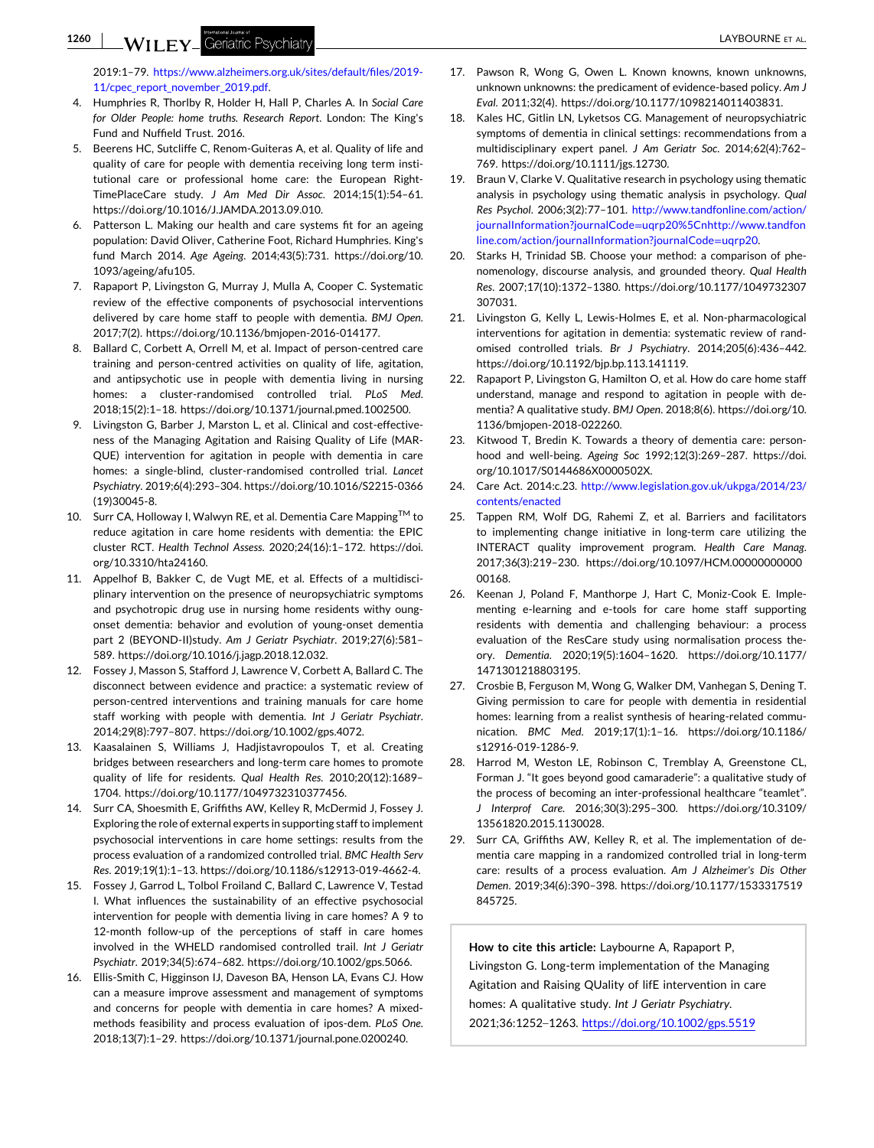<span id="page-8-0"></span>**1260** - LAYBOURNE ET AL.

2019:1–79. [https://www.alzheimers.org.uk/sites/default/files/2019](https://www.alzheimers.org.uk/sites/default/files/2019-11/cpec_report_november_2019.pdf)‐ [11/cpec\\_report\\_november\\_2019.pdf.](https://www.alzheimers.org.uk/sites/default/files/2019-11/cpec_report_november_2019.pdf)

- 4. Humphries R, Thorlby R, Holder H, Hall P, Charles A. In *Social Care for Older People: home truths. Research Report*. London: The King's Fund and Nuffield Trust. 2016.
- 5. Beerens HC, Sutcliffe C, Renom‐Guiteras A, et al. Quality of life and quality of care for people with dementia receiving long term institutional care or professional home care: the European Right-TimePlaceCare study. *J Am Med Dir Assoc*. 2014;15(1):54–61. [https://doi.org/10.1016/J.JAMDA.2013.09.010.](https://doi.org/10.1016/J.JAMDA.2013.09.010)
- 6. Patterson L. Making our health and care systems fit for an ageing population: David Oliver, Catherine Foot, Richard Humphries. King's fund March 2014. *Age Ageing*. 2014;43(5):731. [https://doi.org/10.](https://doi.org/10.1093/ageing/afu105) [1093/ageing/afu105](https://doi.org/10.1093/ageing/afu105).
- 7. Rapaport P, Livingston G, Murray J, Mulla A, Cooper C. Systematic review of the effective components of psychosocial interventions delivered by care home staff to people with dementia. *BMJ Open*. 2017;7(2). [https://doi.org/10.1136/bmjopen](https://doi.org/10.1136/bmjopen-2016-014177)‐2016‐014177.
- 8. Ballard C, Corbett A, Orrell M, et al. Impact of person‐centred care training and person‐centred activities on quality of life, agitation, and antipsychotic use in people with dementia living in nursing homes: a cluster‐randomised controlled trial. *PLoS Med*. 2018;15(2):1–18. <https://doi.org/10.1371/journal.pmed.1002500>.
- 9. Livingston G, Barber J, Marston L, et al. Clinical and cost-effectiveness of the Managing Agitation and Raising Quality of Life (MAR-QUE) intervention for agitation in people with dementia in care homes: a single‐blind, cluster‐randomised controlled trial. *Lancet Psychiatry*. 2019;6(4):293–304. [https://doi.org/10.1016/S2215](https://doi.org/10.1016/S2215-0366(19)30045-8)‐0366 [\(19\)30045](https://doi.org/10.1016/S2215-0366(19)30045-8)‐8.
- 10. Surr CA, Holloway I, Walwyn RE, et al. Dementia Care Mapping™ to reduce agitation in care home residents with dementia: the EPIC cluster RCT. *Health Technol Assess*. 2020;24(16):1–172. [https://doi.](https://doi.org/10.3310/hta24160) [org/10.3310/hta24160](https://doi.org/10.3310/hta24160).
- 11. Appelhof B, Bakker C, de Vugt ME, et al. Effects of a multidisciplinary intervention on the presence of neuropsychiatric symptoms and psychotropic drug use in nursing home residents withy oungonset dementia: behavior and evolution of young‐onset dementia part 2 (BEYOND‐II)study. *Am J Geriatr Psychiatr*. 2019;27(6):581– 589. [https://doi.org/10.1016/j.jagp.2018.12.032.](https://doi.org/10.1016/j.jagp.2018.12.032)
- 12. Fossey J, Masson S, Stafford J, Lawrence V, Corbett A, Ballard C. The disconnect between evidence and practice: a systematic review of person‐centred interventions and training manuals for care home staff working with people with dementia. *Int J Geriatr Psychiatr*. 2014;29(8):797–807. [https://doi.org/10.1002/gps.4072.](https://doi.org/10.1002/gps.4072)
- 13. Kaasalainen S, Williams J, Hadjistavropoulos T, et al. Creating bridges between researchers and long‐term care homes to promote quality of life for residents. *Qual Health Res*. 2010;20(12):1689– 1704. [https://doi.org/10.1177/1049732310377456.](https://doi.org/10.1177/1049732310377456)
- 14. Surr CA, Shoesmith E, Griffiths AW, Kelley R, McDermid J, Fossey J. Exploring the role of external experts in supporting staff to implement psychosocial interventions in care home settings: results from the process evaluation of a randomized controlled trial. *BMC Health Serv Res*. 2019;19(1):1–13. [https://doi.org/10.1186/s12913](https://doi.org/10.1186/s12913-019-4662-4)‐019‐4662‐4.
- 15. Fossey J, Garrod L, Tolbol Froiland C, Ballard C, Lawrence V, Testad I. What influences the sustainability of an effective psychosocial intervention for people with dementia living in care homes? A 9 to 12-month follow-up of the perceptions of staff in care homes involved in the WHELD randomised controlled trail. *Int J Geriatr Psychiatr*. 2019;34(5):674–682. <https://doi.org/10.1002/gps.5066>.
- 16. Ellis‐Smith C, Higginson IJ, Daveson BA, Henson LA, Evans CJ. How can a measure improve assessment and management of symptoms and concerns for people with dementia in care homes? A mixed‐ methods feasibility and process evaluation of ipos‐dem. *PLoS One*. 2018;13(7):1–29. <https://doi.org/10.1371/journal.pone.0200240>.
- 17. Pawson R, Wong G, Owen L. Known knowns, known unknowns, unknown unknowns: the predicament of evidence‐based policy. *Am J Eval*. 2011;32(4). <https://doi.org/10.1177/1098214011403831>.
- 18. Kales HC, Gitlin LN, Lyketsos CG. Management of neuropsychiatric symptoms of dementia in clinical settings: recommendations from a multidisciplinary expert panel. *J Am Geriatr Soc*. 2014;62(4):762– 769. [https://doi.org/10.1111/jgs.12730.](https://doi.org/10.1111/jgs.12730)
- 19. Braun V, Clarke V. Qualitative research in psychology using thematic analysis in psychology using thematic analysis in psychology. *Qual Res Psychol*. 2006;3(2):77–101. [http://www.tandfonline.com/action/](http://www.tandfonline.com/action/journalInformation?journalCode=uqrp20%5Cnhttp://www.tandfonline.com/action/journalInformation?journalCode=uqrp20) journalInformation?journalCode=[uqrp20%5Cnhttp://www.tandfon](http://www.tandfonline.com/action/journalInformation?journalCode=uqrp20%5Cnhttp://www.tandfonline.com/action/journalInformation?journalCode=uqrp20) [line.com/action/journalInformation?journalCode](http://www.tandfonline.com/action/journalInformation?journalCode=uqrp20%5Cnhttp://www.tandfonline.com/action/journalInformation?journalCode=uqrp20)=uqrp20.
- 20. Starks H, Trinidad SB. Choose your method: a comparison of phenomenology, discourse analysis, and grounded theory. *Qual Health Res*. 2007;17(10):1372–1380. [https://doi.org/10.1177/1049732307](https://doi.org/10.1177/1049732307307031) [307031.](https://doi.org/10.1177/1049732307307031)
- 21. Livingston G, Kelly L, Lewis-Holmes E, et al. Non-pharmacological interventions for agitation in dementia: systematic review of randomised controlled trials. *Br J Psychiatry*. 2014;205(6):436–442. <https://doi.org/10.1192/bjp.bp.113.141119>.
- 22. Rapaport P, Livingston G, Hamilton O, et al. How do care home staff understand, manage and respond to agitation in people with dementia? A qualitative study. *BMJ Open*. 2018;8(6). [https://doi.org/10.](https://doi.org/10.1136/bmjopen-2018-022260) [1136/bmjopen](https://doi.org/10.1136/bmjopen-2018-022260)‐2018‐022260.
- 23. Kitwood T, Bredin K. Towards a theory of dementia care: personhood and well‐being. *Ageing Soc* 1992;12(3):269–287. [https://doi.](https://doi.org/10.1017/S0144686X0000502X) [org/10.1017/S0144686X0000502X](https://doi.org/10.1017/S0144686X0000502X).
- 24. Care Act. 2014:c.23. [http://www.legislation.gov.uk/ukpga/2014/23/](http://www.legislation.gov.uk/ukpga/2014/23/contents/enacted) [contents/enacted](http://www.legislation.gov.uk/ukpga/2014/23/contents/enacted)
- 25. Tappen RM, Wolf DG, Rahemi Z, et al. Barriers and facilitators to implementing change initiative in long‐term care utilizing the INTERACT quality improvement program. *Health Care Manag*. 2017;36(3):219–230. [https://doi.org/10.1097/HCM.00000000000](https://doi.org/10.1097/HCM.0000000000000168) [00168](https://doi.org/10.1097/HCM.0000000000000168).
- 26. Keenan J, Poland F, Manthorpe J, Hart C, Moniz‐Cook E. Implementing e‐learning and e‐tools for care home staff supporting residents with dementia and challenging behaviour: a process evaluation of the ResCare study using normalisation process theory. *Dementia*. 2020;19(5):1604–1620. [https://doi.org/10.1177/](https://doi.org/10.1177/1471301218803195) [1471301218803195](https://doi.org/10.1177/1471301218803195).
- 27. Crosbie B, Ferguson M, Wong G, Walker DM, Vanhegan S, Dening T. Giving permission to care for people with dementia in residential homes: learning from a realist synthesis of hearing-related communication. *BMC Med*. 2019;17(1):1–16. [https://doi.org/10.1186/](https://doi.org/10.1186/s12916-019-1286-9) [s12916](https://doi.org/10.1186/s12916-019-1286-9)‐019‐1286‐9.
- 28. Harrod M, Weston LE, Robinson C, Tremblay A, Greenstone CL, Forman J. "It goes beyond good camaraderie": a qualitative study of the process of becoming an inter‐professional healthcare "teamlet". *J Interprof Care*. 2016;30(3):295–300. [https://doi.org/10.3109/](https://doi.org/10.3109/13561820.2015.1130028) [13561820.2015.1130028](https://doi.org/10.3109/13561820.2015.1130028).
- 29. Surr CA, Griffiths AW, Kelley R, et al. The implementation of dementia care mapping in a randomized controlled trial in long‐term care: results of a process evaluation. *Am J Alzheimer's Dis Other Demen*. 2019;34(6):390–398. [https://doi.org/10.1177/1533317519](https://doi.org/10.1177/1533317519845725) [845725.](https://doi.org/10.1177/1533317519845725)

**How to cite this article:** Laybourne A, Rapaport P, Livingston G. Long‐term implementation of the Managing Agitation and Raising QUality of lifE intervention in care homes: A qualitative study. *Int J Geriatr Psychiatry*. 2021;36:1252–1263. <https://doi.org/10.1002/gps.5519>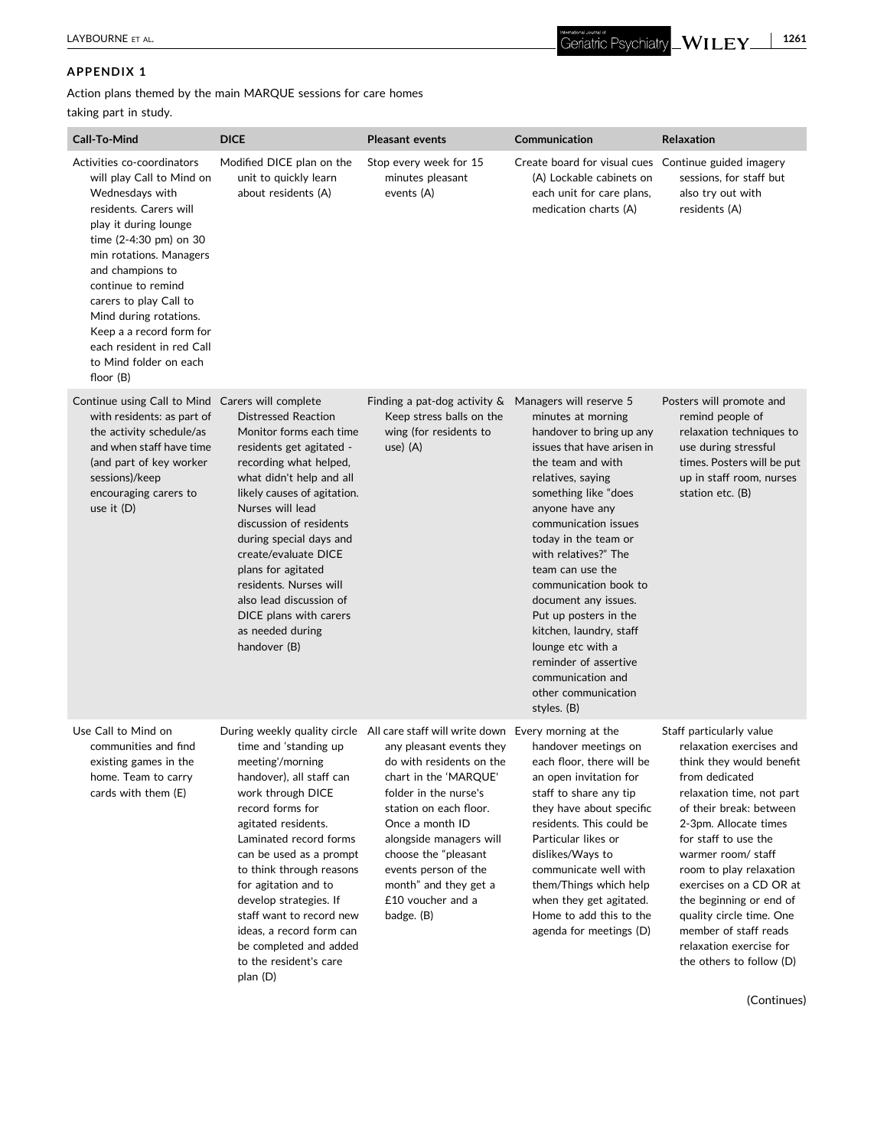# **APPENDIX 1**

Action plans themed by the main MARQUE sessions for care homes

# taking part in study.

| Call-To-Mind                                                                                                                                                                                                                                                                                                                                                                     | <b>DICE</b>                                                                                                                                                                                                                                                                                                                                                                                                       | <b>Pleasant events</b>                                                                                                                                                                                                                                                                                                                                                         | Communication                                                                                                                                                                                                                                                                                                                                                                                                                                                               | Relaxation                                                                                                                                                                                                                                                                                                                                                                                                                    |
|----------------------------------------------------------------------------------------------------------------------------------------------------------------------------------------------------------------------------------------------------------------------------------------------------------------------------------------------------------------------------------|-------------------------------------------------------------------------------------------------------------------------------------------------------------------------------------------------------------------------------------------------------------------------------------------------------------------------------------------------------------------------------------------------------------------|--------------------------------------------------------------------------------------------------------------------------------------------------------------------------------------------------------------------------------------------------------------------------------------------------------------------------------------------------------------------------------|-----------------------------------------------------------------------------------------------------------------------------------------------------------------------------------------------------------------------------------------------------------------------------------------------------------------------------------------------------------------------------------------------------------------------------------------------------------------------------|-------------------------------------------------------------------------------------------------------------------------------------------------------------------------------------------------------------------------------------------------------------------------------------------------------------------------------------------------------------------------------------------------------------------------------|
| Activities co-coordinators<br>will play Call to Mind on<br>Wednesdays with<br>residents. Carers will<br>play it during lounge<br>time (2-4:30 pm) on 30<br>min rotations. Managers<br>and champions to<br>continue to remind<br>carers to play Call to<br>Mind during rotations.<br>Keep a a record form for<br>each resident in red Call<br>to Mind folder on each<br>floor (B) | Modified DICE plan on the<br>unit to quickly learn<br>about residents (A)                                                                                                                                                                                                                                                                                                                                         | Stop every week for 15<br>minutes pleasant<br>events (A)                                                                                                                                                                                                                                                                                                                       | Create board for visual cues Continue guided imagery<br>(A) Lockable cabinets on<br>each unit for care plans,<br>medication charts (A)                                                                                                                                                                                                                                                                                                                                      | sessions, for staff but<br>also try out with<br>residents (A)                                                                                                                                                                                                                                                                                                                                                                 |
| Continue using Call to Mind Carers will complete<br>with residents: as part of<br>the activity schedule/as<br>and when staff have time<br>(and part of key worker<br>sessions)/keep<br>encouraging carers to<br>use it (D)                                                                                                                                                       | <b>Distressed Reaction</b><br>Monitor forms each time<br>residents get agitated -<br>recording what helped,<br>what didn't help and all<br>likely causes of agitation.<br>Nurses will lead<br>discussion of residents<br>during special days and<br>create/evaluate DICE<br>plans for agitated<br>residents. Nurses will<br>also lead discussion of<br>DICE plans with carers<br>as needed during<br>handover (B) | Finding a pat-dog activity $\&$ Managers will reserve 5<br>Keep stress balls on the<br>wing (for residents to<br>use) (A)                                                                                                                                                                                                                                                      | minutes at morning<br>handover to bring up any<br>issues that have arisen in<br>the team and with<br>relatives, saying<br>something like "does<br>anyone have any<br>communication issues<br>today in the team or<br>with relatives?" The<br>team can use the<br>communication book to<br>document any issues.<br>Put up posters in the<br>kitchen, laundry, staff<br>lounge etc with a<br>reminder of assertive<br>communication and<br>other communication<br>styles. (B) | Posters will promote and<br>remind people of<br>relaxation techniques to<br>use during stressful<br>times. Posters will be put<br>up in staff room, nurses<br>station etc. (B)                                                                                                                                                                                                                                                |
| Use Call to Mind on<br>communities and find<br>existing games in the<br>home. Team to carry<br>cards with them (E)                                                                                                                                                                                                                                                               | time and 'standing up<br>meeting'/morning<br>handover), all staff can<br>work through DICE<br>record forms for<br>agitated residents.<br>Laminated record forms<br>can be used as a prompt<br>to think through reasons<br>for agitation and to<br>develop strategies. If<br>staff want to record new<br>ideas, a record form can<br>be completed and added<br>to the resident's care<br>plan (D)                  | During weekly quality circle All care staff will write down Every morning at the<br>any pleasant events they<br>do with residents on the<br>chart in the 'MARQUE'<br>folder in the nurse's<br>station on each floor.<br>Once a month ID<br>alongside managers will<br>choose the "pleasant<br>events person of the<br>month" and they get a<br>£10 voucher and a<br>badge. (B) | handover meetings on<br>each floor, there will be<br>an open invitation for<br>staff to share any tip<br>they have about specific<br>residents. This could be<br>Particular likes or<br>dislikes/Ways to<br>communicate well with<br>them/Things which help<br>when they get agitated.<br>Home to add this to the<br>agenda for meetings (D)                                                                                                                                | Staff particularly value<br>relaxation exercises and<br>think they would benefit<br>from dedicated<br>relaxation time, not part<br>of their break: between<br>2-3pm. Allocate times<br>for staff to use the<br>warmer room/staff<br>room to play relaxation<br>exercises on a CD OR at<br>the beginning or end of<br>quality circle time. One<br>member of staff reads<br>relaxation exercise for<br>the others to follow (D) |

(Continues)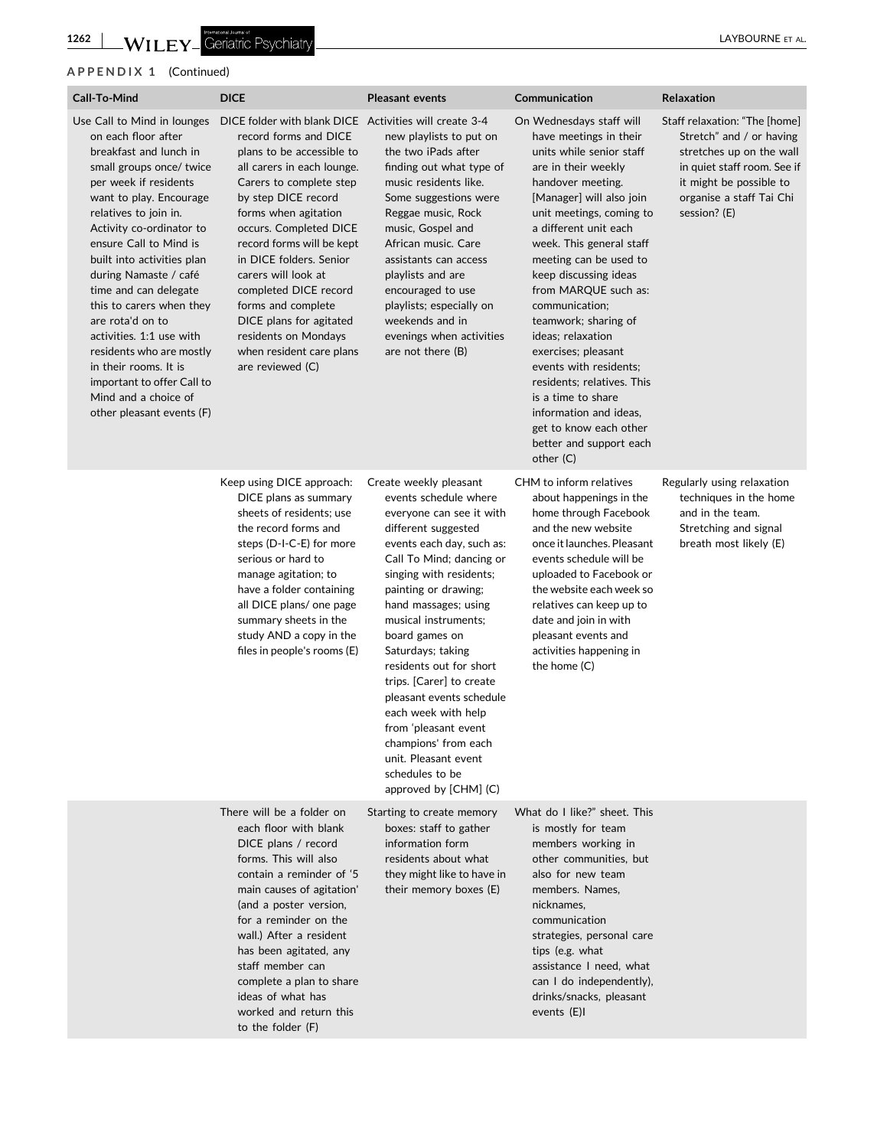# **APPENDIX 1** (Continued)

| Call-To-Mind                                                                                                                                                                                                                                                                                                                                                                                                                                                                                                     | <b>DICE</b>                                                                                                                                                                                                                                                                                                                                                                                                                                                                                                 | <b>Pleasant events</b>                                                                                                                                                                                                                                                                                                                                                                                                                                                                                                              | Communication                                                                                                                                                                                                                                                                                                                                                                                                                                                                                                                                                                      | Relaxation                                                                                                                                                                                  |
|------------------------------------------------------------------------------------------------------------------------------------------------------------------------------------------------------------------------------------------------------------------------------------------------------------------------------------------------------------------------------------------------------------------------------------------------------------------------------------------------------------------|-------------------------------------------------------------------------------------------------------------------------------------------------------------------------------------------------------------------------------------------------------------------------------------------------------------------------------------------------------------------------------------------------------------------------------------------------------------------------------------------------------------|-------------------------------------------------------------------------------------------------------------------------------------------------------------------------------------------------------------------------------------------------------------------------------------------------------------------------------------------------------------------------------------------------------------------------------------------------------------------------------------------------------------------------------------|------------------------------------------------------------------------------------------------------------------------------------------------------------------------------------------------------------------------------------------------------------------------------------------------------------------------------------------------------------------------------------------------------------------------------------------------------------------------------------------------------------------------------------------------------------------------------------|---------------------------------------------------------------------------------------------------------------------------------------------------------------------------------------------|
| on each floor after<br>breakfast and lunch in<br>small groups once/ twice<br>per week if residents<br>want to play. Encourage<br>relatives to join in.<br>Activity co-ordinator to<br>ensure Call to Mind is<br>built into activities plan<br>during Namaste / café<br>time and can delegate<br>this to carers when they<br>are rota'd on to<br>activities. 1:1 use with<br>residents who are mostly<br>in their rooms. It is<br>important to offer Call to<br>Mind and a choice of<br>other pleasant events (F) | Use Call to Mind in lounges DICE folder with blank DICE Activities will create 3-4<br>record forms and DICE<br>plans to be accessible to<br>all carers in each lounge.<br>Carers to complete step<br>by step DICE record<br>forms when agitation<br>occurs. Completed DICE<br>record forms will be kept<br>in DICE folders. Senior<br>carers will look at<br>completed DICE record<br>forms and complete<br>DICE plans for agitated<br>residents on Mondays<br>when resident care plans<br>are reviewed (C) | new playlists to put on<br>the two iPads after<br>finding out what type of<br>music residents like.<br>Some suggestions were<br>Reggae music, Rock<br>music, Gospel and<br>African music. Care<br>assistants can access<br>playlists and are<br>encouraged to use<br>playlists; especially on<br>weekends and in<br>evenings when activities<br>are not there $(B)$                                                                                                                                                                 | On Wednesdays staff will<br>have meetings in their<br>units while senior staff<br>are in their weekly<br>handover meeting.<br>[Manager] will also join<br>unit meetings, coming to<br>a different unit each<br>week. This general staff<br>meeting can be used to<br>keep discussing ideas<br>from MARQUE such as:<br>communication;<br>teamwork; sharing of<br>ideas; relaxation<br>exercises; pleasant<br>events with residents;<br>residents: relatives. This<br>is a time to share<br>information and ideas.<br>get to know each other<br>better and support each<br>other (C) | Staff relaxation: "The [home]<br>Stretch" and / or having<br>stretches up on the wall<br>in quiet staff room. See if<br>it might be possible to<br>organise a staff Tai Chi<br>session? (E) |
|                                                                                                                                                                                                                                                                                                                                                                                                                                                                                                                  | Keep using DICE approach:<br>DICE plans as summary<br>sheets of residents; use<br>the record forms and<br>steps (D-I-C-E) for more<br>serious or hard to<br>manage agitation; to<br>have a folder containing<br>all DICE plans/ one page<br>summary sheets in the<br>study AND a copy in the<br>files in people's rooms (E)                                                                                                                                                                                 | Create weekly pleasant<br>events schedule where<br>everyone can see it with<br>different suggested<br>events each day, such as:<br>Call To Mind; dancing or<br>singing with residents;<br>painting or drawing;<br>hand massages; using<br>musical instruments;<br>board games on<br>Saturdays; taking<br>residents out for short<br>trips. [Carer] to create<br>pleasant events schedule<br>each week with help<br>from 'pleasant event<br>champions' from each<br>unit. Pleasant event<br>schedules to be<br>approved by [CHM] (C) | CHM to inform relatives<br>about happenings in the<br>home through Facebook<br>and the new website<br>once it launches. Pleasant<br>events schedule will be<br>uploaded to Facebook or<br>the website each week so<br>relatives can keep up to<br>date and join in with<br>pleasant events and<br>activities happening in<br>the home (C)                                                                                                                                                                                                                                          | Regularly using relaxation<br>techniques in the home<br>and in the team.<br>Stretching and signal<br>breath most likely (E)                                                                 |
|                                                                                                                                                                                                                                                                                                                                                                                                                                                                                                                  | There will be a folder on<br>each floor with blank<br>DICE plans / record<br>forms. This will also<br>contain a reminder of '5<br>main causes of agitation'<br>(and a poster version,<br>for a reminder on the<br>wall.) After a resident<br>has been agitated, any<br>staff member can<br>complete a plan to share<br>ideas of what has<br>worked and return this<br>to the folder (F)                                                                                                                     | Starting to create memory<br>boxes: staff to gather<br>information form<br>residents about what<br>they might like to have in<br>their memory boxes (E)                                                                                                                                                                                                                                                                                                                                                                             | What do I like?" sheet. This<br>is mostly for team<br>members working in<br>other communities, but<br>also for new team<br>members. Names,<br>nicknames,<br>communication<br>strategies, personal care<br>tips (e.g. what<br>assistance I need, what<br>can I do independently),<br>drinks/snacks, pleasant<br>events (E)I                                                                                                                                                                                                                                                         |                                                                                                                                                                                             |